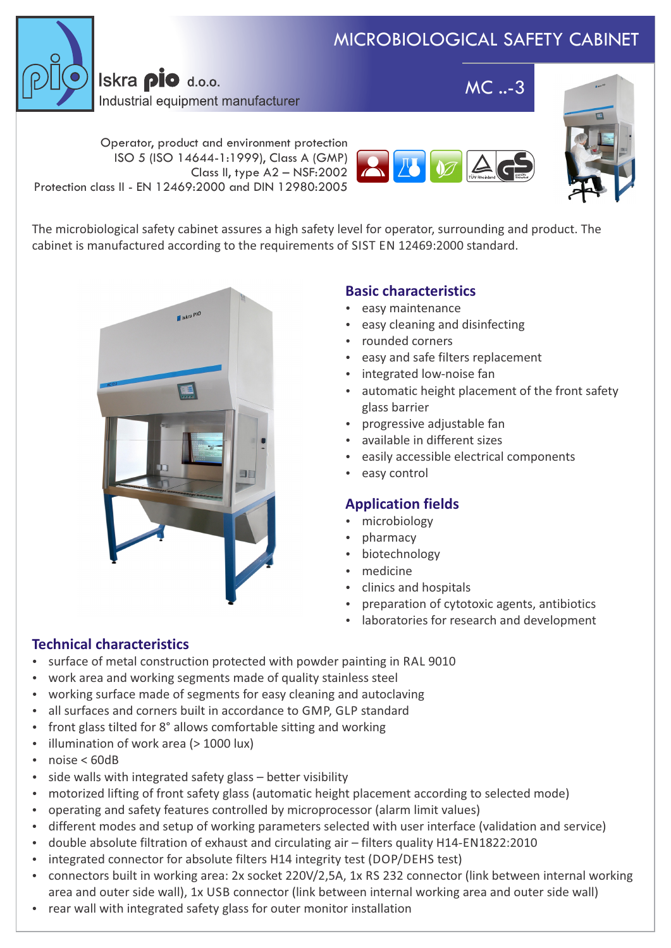# MICROBIOLOGICAL SAFETY CABINET



Iskra pio d.o.o. Industrial equipment manufacturer

MC ..-3



Operator, product and environment protection ISO 5 (ISO 14644-1:1999), Class A (GMP) Class II, type A2 – NSF:2002 Protection class II - EN 12469:2000 and DIN 12980:2005



The microbiological safety cabinet assures a high safety level for operator, surrounding and product. The cabinet is manufactured according to the requirements of SIST EN 12469:2000 standard.



## **Basic characteristics**

- easy maintenance
- easy cleaning and disinfecting
- rounded corners
- easy and safe filters replacement
- integrated low-noise fan
- automatic height placement of the front safety glass barrier
- progressive adjustable fan
- available in different sizes
- easily accessible electrical components
- easy control

## **Application fields**

- microbiology
- pharmacy
- biotechnology
- medicine
- clinics and hospitals
- preparation of cytotoxic agents, antibiotics
- laboratories for research and development

## **Technical characteristics**

- surface of metal construction protected with powder painting in RAL 9010
- work area and working segments made of quality stainless steel
- working surface made of segments for easy cleaning and autoclaving
- all surfaces and corners built in accordance to GMP, GLP standard
- front glass tilted for 8° allows comfortable sitting and working
- illumination of work area (> 1000 lux)
- noise < 60dB
- side walls with integrated safety glass better visibility
- motorized lifting of front safety glass (automatic height placement according to selected mode)
- operating and safety features controlled by microprocessor (alarm limit values)
- different modes and setup of working parameters selected with user interface (validation and service)
- double absolute filtration of exhaust and circulating air filters quality H14-EN1822:2010
- integrated connector for absolute filters H14 integrity test (DOP/DEHS test)
- connectors built in working area: 2x socket 220V/2,5A, 1x RS 232 connector (link between internal working area and outer side wall), 1x USB connector (link between internal working area and outer side wall)
- rear wall with integrated safety glass for outer monitor installation